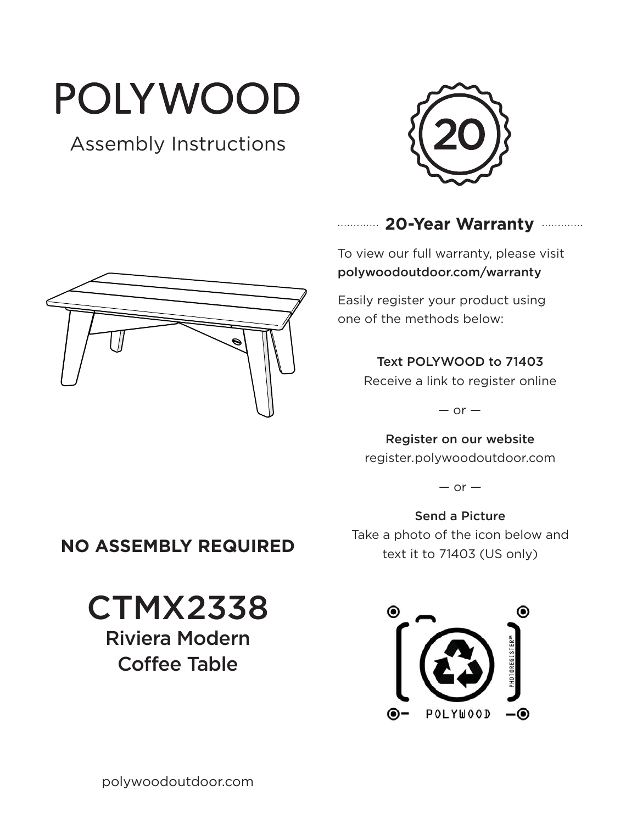# POLYWOOD

# Assembly Instructions



#### **20-Year Warranty**

To view our full warranty, please visit polywoodoutdoor.com/warranty

Easily register your product using one of the methods below:

#### Text POLYWOOD to 71403

Receive a link to register online

 $-$  or  $-$ 

Register on our website register.polywoodoutdoor.com

 $-$  or  $-$ 

Send a Picture Take a photo of the icon below and text it to 71403 (US only)



# **NO ASSEMBLY REQUIRED**

CTMX2338 Riviera Modern **Coffee Table**